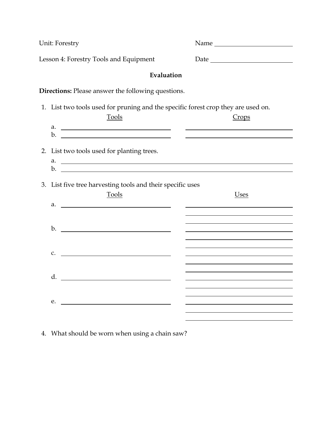|                                        | Unit: Forestry                                                                                    | Name  |
|----------------------------------------|---------------------------------------------------------------------------------------------------|-------|
| Lesson 4: Forestry Tools and Equipment |                                                                                                   |       |
|                                        | Evaluation                                                                                        |       |
|                                        | Directions: Please answer the following questions.                                                |       |
|                                        | 1. List two tools used for pruning and the specific forest crop they are used on.<br><b>Tools</b> | Crops |
|                                        | 2. List two tools used for planting trees.<br>$\alpha$ . $\beta$                                  |       |
|                                        | 3. List five tree harvesting tools and their specific uses<br><b>Tools</b>                        | Uses  |
|                                        | $\mathbf{b}$ .                                                                                    |       |
| $C_{\bullet}$                          |                                                                                                   |       |
|                                        | d.                                                                                                |       |
| e.                                     |                                                                                                   |       |

4. What should be worn when using a chain saw?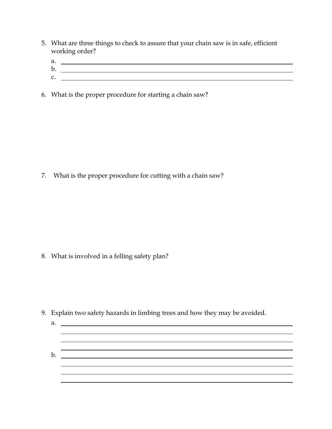- 5. What are three things to check to assure that your chain saw is in safe, efficient working order?
- a. b.
- c.
- 6. What is the proper procedure for starting a chain saw?

7. What is the proper procedure for cutting with a chain saw?

8. What is involved in a felling safety plan?

9. Explain two safety hazards in limbing trees and how they may be avoided.

| a. |  |
|----|--|
|    |  |
|    |  |
|    |  |
| p. |  |
|    |  |
|    |  |
|    |  |
|    |  |